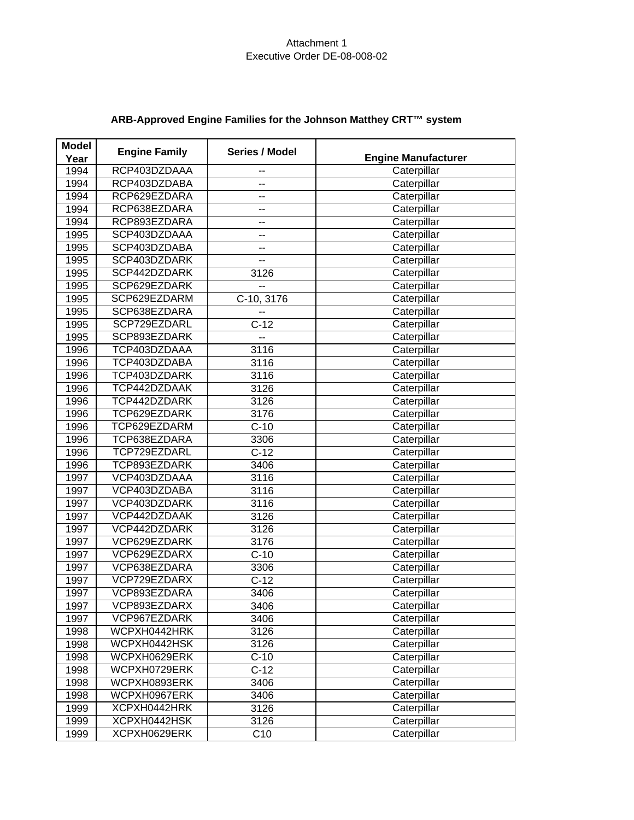| <b>Model</b><br>Year | <b>Engine Family</b> | Series / Model  | <b>Engine Manufacturer</b> |
|----------------------|----------------------|-----------------|----------------------------|
| 1994                 | RCP403DZDAAA         |                 | Caterpillar                |
| 1994                 | RCP403DZDABA         | --              | Caterpillar                |
| 1994                 | RCP629EZDARA         | --              | Caterpillar                |
| 1994                 | RCP638EZDARA         | --              | Caterpillar                |
| 1994                 | RCP893EZDARA         | $-$             | Caterpillar                |
| 1995                 | SCP403DZDAAA         | --              | Caterpillar                |
| 1995                 | SCP403DZDABA         | --              | Caterpillar                |
| 1995                 | SCP403DZDARK         | --              | Caterpillar                |
| 1995                 | SCP442DZDARK         | 3126            | Caterpillar                |
| 1995                 | SCP629EZDARK         | --              | Caterpillar                |
| 1995                 | SCP629EZDARM         | C-10, 3176      | Caterpillar                |
| 1995                 | SCP638EZDARA         | --              | Caterpillar                |
| 1995                 | SCP729EZDARL         | $C-12$          | Caterpillar                |
| 1995                 | SCP893EZDARK         | --              | Caterpillar                |
| 1996                 | TCP403DZDAAA         | 3116            | Caterpillar                |
| 1996                 | TCP403DZDABA         | 3116            | Caterpillar                |
| 1996                 | TCP403DZDARK         | 3116            | Caterpillar                |
| 1996                 | TCP442DZDAAK         | 3126            | Caterpillar                |
| 1996                 | TCP442DZDARK         | 3126            | Caterpillar                |
| 1996                 | TCP629EZDARK         | 3176            | Caterpillar                |
| 1996                 | TCP629EZDARM         | $C-10$          | Caterpillar                |
| 1996                 | TCP638EZDARA         | 3306            | Caterpillar                |
| 1996                 | TCP729EZDARL         | $C-12$          | Caterpillar                |
| 1996                 | TCP893EZDARK         | 3406            | Caterpillar                |
| 1997                 | VCP403DZDAAA         | 3116            | Caterpillar                |
| 1997                 | VCP403DZDABA         | 3116            | Caterpillar                |
| 1997                 | VCP403DZDARK         | 3116            | Caterpillar                |
| 1997                 | VCP442DZDAAK         | 3126            | Caterpillar                |
| 1997                 | VCP442DZDARK         | 3126            | Caterpillar                |
| 1997                 | VCP629EZDARK         | 3176            | Caterpillar                |
| 1997                 | VCP629EZDARX         | $C-10$          | Caterpillar                |
| 1997                 | VCP638EZDARA         | 3306            | Caterpillar                |
| 1997                 | VCP729EZDARX         | $C-12$          | Caterpillar                |
| 1997                 | VCP893EZDARA         | 3406            | Caterpillar                |
| 1997                 | VCP893EZDARX         | 3406            | Caterpillar                |
| 1997                 | VCP967EZDARK         | 3406            | Caterpillar                |
| 1998                 | WCPXH0442HRK         | 3126            | Caterpillar                |
| 1998                 | WCPXH0442HSK         | 3126            | Caterpillar                |
| 1998                 | WCPXH0629ERK         | $C-10$          | Caterpillar                |
| 1998                 | WCPXH0729ERK         | $C-12$          | Caterpillar                |
| 1998                 | WCPXH0893ERK         | 3406            | Caterpillar                |
| 1998                 | WCPXH0967ERK         | 3406            | Caterpillar                |
| 1999                 | XCPXH0442HRK         | 3126            | Caterpillar                |
| 1999                 | XCPXH0442HSK         | 3126            | Caterpillar                |
| 1999                 | XCPXH0629ERK         | C <sub>10</sub> | Caterpillar                |

# **ARB-Approved Engine Families for the Johnson Matthey CRT™ system**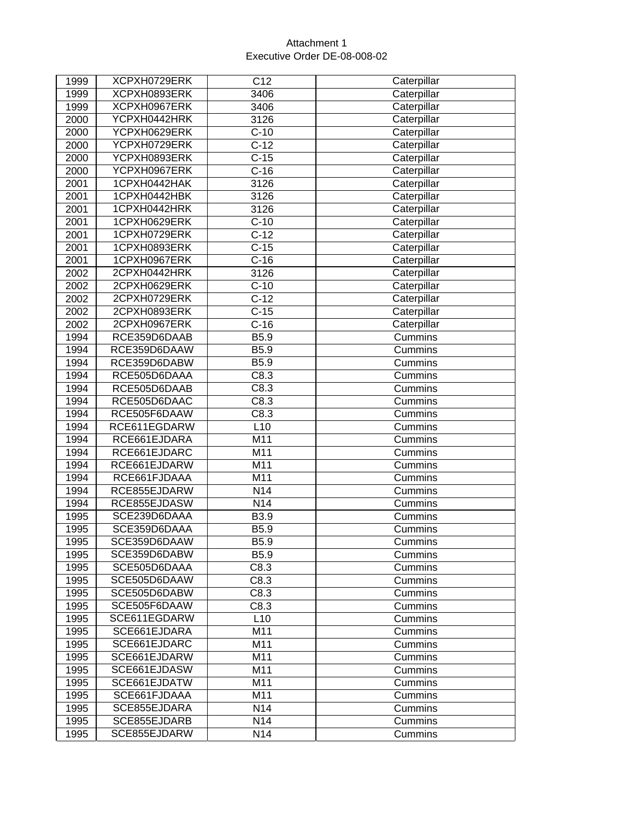| 1999 | XCPXH0729ERK | C12              | Caterpillar |
|------|--------------|------------------|-------------|
| 1999 | XCPXH0893ERK | 3406             | Caterpillar |
| 1999 | XCPXH0967ERK | 3406             | Caterpillar |
| 2000 | YCPXH0442HRK | 3126             | Caterpillar |
| 2000 | YCPXH0629ERK | $C-10$           | Caterpillar |
| 2000 | YCPXH0729ERK | $C-12$           | Caterpillar |
| 2000 | YCPXH0893ERK | $C-15$           | Caterpillar |
| 2000 | YCPXH0967ERK | $C-16$           | Caterpillar |
| 2001 | 1CPXH0442HAK | 3126             | Caterpillar |
| 2001 | 1CPXH0442HBK | 3126             | Caterpillar |
| 2001 | 1CPXH0442HRK | 3126             | Caterpillar |
| 2001 | 1CPXH0629ERK | $C-10$           | Caterpillar |
| 2001 | 1CPXH0729ERK | $C-12$           | Caterpillar |
| 2001 | 1CPXH0893ERK | $C-15$           | Caterpillar |
| 2001 | 1CPXH0967ERK | $C-16$           | Caterpillar |
| 2002 | 2CPXH0442HRK | 3126             | Caterpillar |
| 2002 | 2CPXH0629ERK | $C-10$           | Caterpillar |
| 2002 | 2CPXH0729ERK | $C-12$           | Caterpillar |
| 2002 | 2CPXH0893ERK | $C-15$           | Caterpillar |
| 2002 | 2CPXH0967ERK | $C-16$           | Caterpillar |
| 1994 | RCE359D6DAAB | B5.9             | Cummins     |
| 1994 | RCE359D6DAAW | B5.9             | Cummins     |
| 1994 | RCE359D6DABW | B5.9             | Cummins     |
| 1994 | RCE505D6DAAA | C8.3             | Cummins     |
| 1994 | RCE505D6DAAB | C8.3             | Cummins     |
| 1994 | RCE505D6DAAC | C8.3             | Cummins     |
| 1994 | RCE505F6DAAW | C8.3             | Cummins     |
| 1994 | RCE611EGDARW | L10              | Cummins     |
| 1994 | RCE661EJDARA | M11              | Cummins     |
| 1994 | RCE661EJDARC | M11              | Cummins     |
| 1994 | RCE661EJDARW | M11              | Cummins     |
| 1994 | RCE661FJDAAA | M11              | Cummins     |
| 1994 | RCE855EJDARW | N <sub>14</sub>  | Cummins     |
| 1994 | RCE855EJDASW | N14              | Cummins     |
| 1995 | SCE239D6DAAA | B3.9             | Cummins     |
| 1995 | SCE359D6DAAA | B5.9             | Cummins     |
| 1995 | SCE359D6DAAW | B5.9             | Cummins     |
| 1995 | SCE359D6DABW | B <sub>5.9</sub> | Cummins     |
| 1995 | SCE505D6DAAA | C8.3             | Cummins     |
| 1995 | SCE505D6DAAW | C8.3             | Cummins     |
| 1995 | SCE505D6DABW | C8.3             | Cummins     |
| 1995 | SCE505F6DAAW | C8.3             | Cummins     |
| 1995 | SCE611EGDARW | L10              | Cummins     |
| 1995 | SCE661EJDARA | M11              | Cummins     |
| 1995 | SCE661EJDARC | M11              | Cummins     |
| 1995 | SCE661EJDARW | M11              | Cummins     |
| 1995 | SCE661EJDASW | M11              | Cummins     |
| 1995 | SCE661EJDATW | M11              | Cummins     |
| 1995 | SCE661FJDAAA | M11              | Cummins     |
| 1995 | SCE855EJDARA | N14              | Cummins     |
| 1995 | SCE855EJDARB | N14              | Cummins     |
| 1995 | SCE855EJDARW | N14              | Cummins     |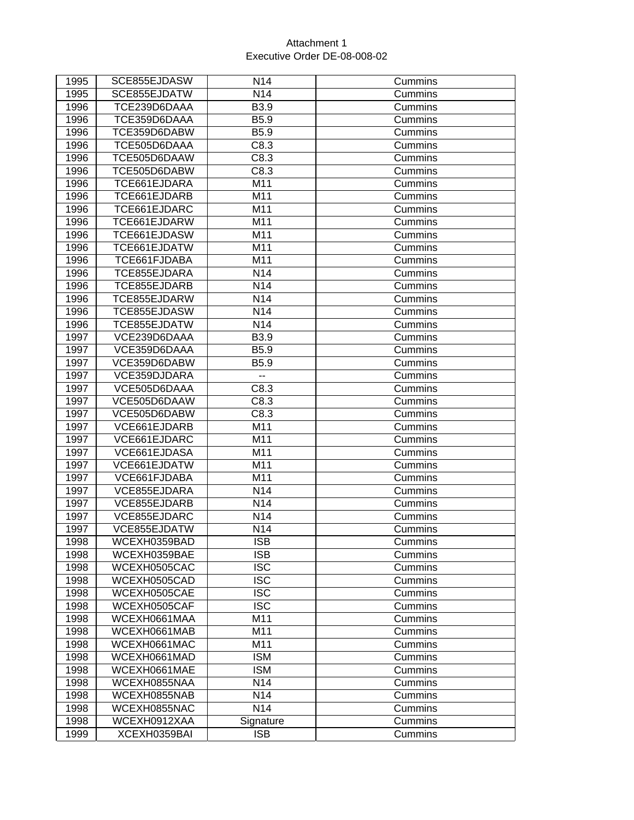| 1995 | SCE855EJDASW                 | N <sub>14</sub>                    | Cummins |
|------|------------------------------|------------------------------------|---------|
| 1995 | SCE855EJDATW                 | N14                                | Cummins |
| 1996 | TCE239D6DAAA                 | B3.9                               | Cummins |
| 1996 | TCE359D6DAAA                 | B5.9                               | Cummins |
| 1996 | TCE359D6DABW                 | B5.9                               | Cummins |
| 1996 | TCE505D6DAAA                 | C8.3                               | Cummins |
| 1996 | TCE505D6DAAW                 | C8.3                               | Cummins |
| 1996 | TCE505D6DABW                 | C8.3                               | Cummins |
| 1996 | TCE661EJDARA                 | M11                                | Cummins |
| 1996 | TCE661EJDARB                 | M11                                | Cummins |
| 1996 | TCE661EJDARC                 | M11                                | Cummins |
| 1996 | TCE661EJDARW                 | M11                                | Cummins |
| 1996 | TCE661EJDASW                 | M11                                | Cummins |
| 1996 | TCE661EJDATW                 | M11                                | Cummins |
| 1996 | TCE661FJDABA                 | M11                                | Cummins |
| 1996 | TCE855EJDARA                 | N14                                | Cummins |
| 1996 | TCE855EJDARB                 | N14                                | Cummins |
| 1996 | TCE855EJDARW                 | N14                                | Cummins |
| 1996 | TCE855EJDASW                 | N14                                | Cummins |
| 1996 | TCE855EJDATW                 | N14                                | Cummins |
| 1997 | VCE239D6DAAA                 | B3.9                               | Cummins |
| 1997 | VCE359D6DAAA                 | B5.9                               | Cummins |
| 1997 | VCE359D6DABW                 | B5.9                               | Cummins |
| 1997 | VCE359DJDARA                 | $\overline{\phantom{a}}$           | Cummins |
| 1997 | VCE505D6DAAA                 | C8.3                               | Cummins |
| 1997 | VCE505D6DAAW                 | C8.3                               | Cummins |
| 1997 | VCE505D6DABW                 | C8.3                               | Cummins |
| 1997 | VCE661EJDARB                 | M11                                | Cummins |
| 1997 | VCE661EJDARC                 | M11                                | Cummins |
| 1997 | VCE661EJDASA                 | M11                                | Cummins |
| 1997 | VCE661EJDATW                 | M11                                | Cummins |
| 1997 | VCE661FJDABA                 | M11                                | Cummins |
| 1997 | VCE855EJDARA                 | N14                                | Cummins |
| 1997 | VCE855EJDARB                 | N14                                | Cummins |
| 1997 | VCE855EJDARC                 | N14                                | Cummins |
| 1997 | VCE855EJDATW                 | N14                                | Cummins |
| 1998 | WCEXH0359BAD                 | $\overline{\text{ISB}}$            | Cummins |
| 1998 | WCEXH0359BAE                 | <b>ISB</b>                         | Cummins |
| 1998 | WCEXH0505CAC                 | <b>ISC</b>                         | Cummins |
| 1998 | WCEXH0505CAD                 | <b>ISC</b>                         | Cummins |
| 1998 | WCEXH0505CAE                 | <b>ISC</b>                         | Cummins |
| 1998 | WCEXH0505CAF                 | <b>ISC</b>                         | Cummins |
| 1998 | WCEXH0661MAA                 | M11                                | Cummins |
| 1998 | WCEXH0661MAB                 | M11                                | Cummins |
| 1998 | WCEXH0661MAC<br>WCEXH0661MAD | M11                                | Cummins |
| 1998 |                              | <b>ISM</b>                         | Cummins |
| 1998 | WCEXH0661MAE                 | <b>ISM</b>                         | Cummins |
| 1998 | WCEXH0855NAA                 | N <sub>14</sub>                    | Cummins |
| 1998 | WCEXH0855NAB                 | N <sub>14</sub><br>N <sub>14</sub> | Cummins |
| 1998 | WCEXH0855NAC<br>WCEXH0912XAA |                                    | Cummins |
| 1998 |                              | Signature<br><b>ISB</b>            | Cummins |
| 1999 | XCEXH0359BAI                 |                                    | Cummins |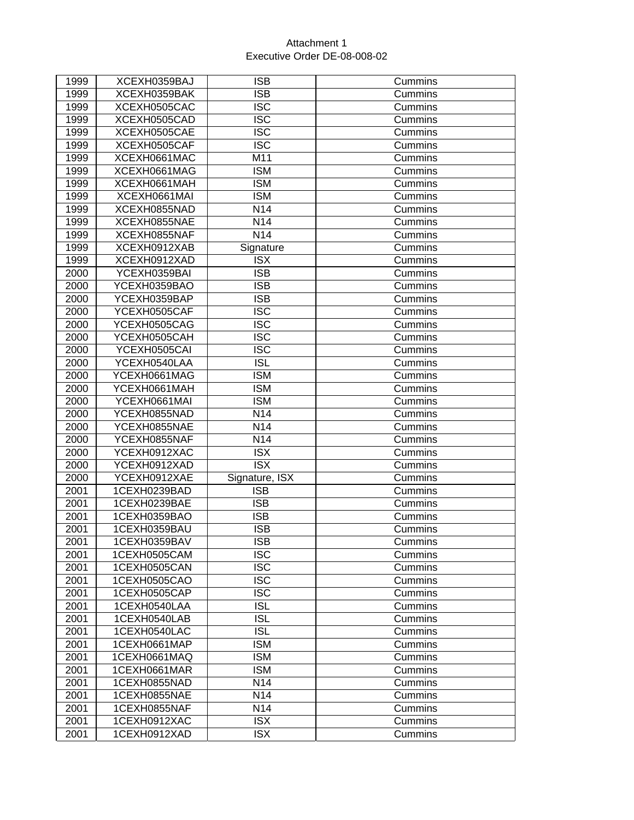| 1999 | XCEXH0359BAJ | <b>ISB</b>              | Cummins |
|------|--------------|-------------------------|---------|
| 1999 | XCEXH0359BAK | <b>ISB</b>              | Cummins |
| 1999 | XCEXH0505CAC | <b>ISC</b>              | Cummins |
| 1999 | XCEXH0505CAD | <b>ISC</b>              | Cummins |
| 1999 | XCEXH0505CAE | <b>ISC</b>              | Cummins |
| 1999 | XCEXH0505CAF | <b>ISC</b>              | Cummins |
| 1999 | XCEXH0661MAC | M11                     | Cummins |
| 1999 | XCEXH0661MAG | <b>ISM</b>              | Cummins |
| 1999 | XCEXH0661MAH | <b>ISM</b>              | Cummins |
| 1999 | XCEXH0661MAI | <b>ISM</b>              | Cummins |
| 1999 | XCEXH0855NAD | N <sub>14</sub>         | Cummins |
| 1999 | XCEXH0855NAE | N14                     | Cummins |
| 1999 | XCEXH0855NAF | N14                     | Cummins |
| 1999 | XCEXH0912XAB | Signature               | Cummins |
| 1999 | XCEXH0912XAD | <b>ISX</b>              | Cummins |
| 2000 | YCEXH0359BAI | <b>ISB</b>              | Cummins |
| 2000 | YCEXH0359BAO | <b>ISB</b>              | Cummins |
| 2000 | YCEXH0359BAP | <b>ISB</b>              | Cummins |
| 2000 | YCEXH0505CAF | <b>ISC</b>              | Cummins |
| 2000 | YCEXH0505CAG | <b>ISC</b>              | Cummins |
| 2000 | YCEXH0505CAH | <b>ISC</b>              | Cummins |
| 2000 | YCEXH0505CAI | <b>ISC</b>              | Cummins |
| 2000 | YCEXH0540LAA | <b>ISL</b>              | Cummins |
| 2000 | YCEXH0661MAG | <b>ISM</b>              | Cummins |
| 2000 | YCEXH0661MAH | <b>ISM</b>              | Cummins |
| 2000 | YCEXH0661MAI | <b>ISM</b>              | Cummins |
| 2000 | YCEXH0855NAD | N <sub>14</sub>         | Cummins |
| 2000 | YCEXH0855NAE | N <sub>14</sub>         | Cummins |
| 2000 | YCEXH0855NAF | N14                     | Cummins |
| 2000 | YCEXH0912XAC | <b>ISX</b>              | Cummins |
| 2000 | YCEXH0912XAD | $\overline{\text{ISX}}$ | Cummins |
| 2000 | YCEXH0912XAE | Signature, ISX          | Cummins |
| 2001 | 1CEXH0239BAD | <b>ISB</b>              | Cummins |
| 2001 | 1CEXH0239BAE | <b>ISB</b>              | Cummins |
| 2001 | 1CEXH0359BAO | <b>ISB</b>              | Cummins |
| 2001 | 1CEXH0359BAU | <b>ISB</b>              | Cummins |
| 2001 | 1CEXH0359BAV | <b>ISB</b>              | Cummins |
| 2001 | 1CEXH0505CAM | <b>ISC</b>              | Cummins |
| 2001 | 1CEXH0505CAN | <b>ISC</b>              | Cummins |
| 2001 | 1CEXH0505CAO | <b>ISC</b>              | Cummins |
| 2001 | 1CEXH0505CAP | <b>ISC</b>              | Cummins |
| 2001 | 1CEXH0540LAA | <b>ISL</b>              | Cummins |
| 2001 | 1CEXH0540LAB | <b>ISL</b>              | Cummins |
| 2001 | 1CEXH0540LAC | <b>ISL</b>              | Cummins |
| 2001 | 1CEXH0661MAP | <b>ISM</b>              | Cummins |
| 2001 | 1CEXH0661MAQ | <b>ISM</b>              | Cummins |
| 2001 | 1CEXH0661MAR | <b>ISM</b>              | Cummins |
| 2001 | 1CEXH0855NAD | N14                     | Cummins |
| 2001 | 1CEXH0855NAE | N14                     | Cummins |
| 2001 | 1CEXH0855NAF | N14                     | Cummins |
| 2001 | 1CEXH0912XAC | <b>ISX</b>              | Cummins |
| 2001 | 1CEXH0912XAD | <b>ISX</b>              | Cummins |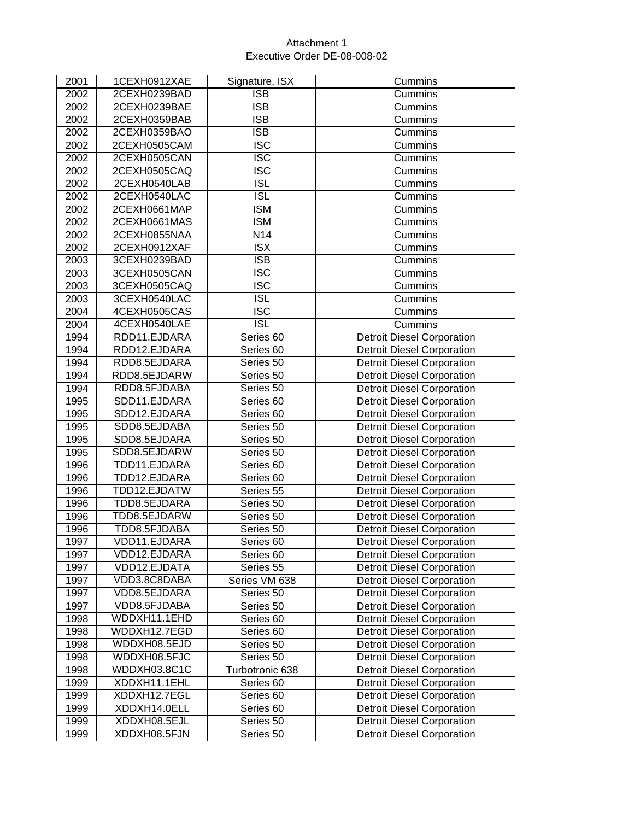| 2001 | 1CEXH0912XAE | Signature, ISX          | Cummins                           |
|------|--------------|-------------------------|-----------------------------------|
| 2002 | 2CEXH0239BAD | <b>ISB</b>              | Cummins                           |
| 2002 | 2CEXH0239BAE | <b>ISB</b>              | Cummins                           |
| 2002 | 2CEXH0359BAB | <b>ISB</b>              | Cummins                           |
| 2002 | 2CEXH0359BAO | <b>ISB</b>              | Cummins                           |
| 2002 | 2CEXH0505CAM | <b>ISC</b>              | Cummins                           |
| 2002 | 2CEXH0505CAN | $\overline{\text{ISC}}$ | Cummins                           |
| 2002 | 2CEXH0505CAQ | <b>ISC</b>              | Cummins                           |
| 2002 | 2CEXH0540LAB | <b>ISL</b>              | Cummins                           |
| 2002 | 2CEXH0540LAC | $\overline{ISL}$        | Cummins                           |
| 2002 | 2CEXH0661MAP | <b>ISM</b>              | Cummins                           |
| 2002 | 2CEXH0661MAS | <b>ISM</b>              | Cummins                           |
| 2002 | 2CEXH0855NAA | N14                     | Cummins                           |
| 2002 | 2CEXH0912XAF | <b>ISX</b>              | Cummins                           |
| 2003 | 3CEXH0239BAD | $\overline{\text{ISB}}$ | Cummins                           |
| 2003 | 3CEXH0505CAN | <b>ISC</b>              | Cummins                           |
| 2003 | 3CEXH0505CAQ | $\overline{\text{ISC}}$ | Cummins                           |
| 2003 | 3CEXH0540LAC | <b>ISL</b>              | Cummins                           |
| 2004 | 4CEXH0505CAS | $\overline{\text{ISC}}$ | Cummins                           |
| 2004 | 4CEXH0540LAE | <b>ISL</b>              | Cummins                           |
| 1994 | RDD11.EJDARA | Series 60               | <b>Detroit Diesel Corporation</b> |
| 1994 | RDD12.EJDARA | Series 60               | <b>Detroit Diesel Corporation</b> |
| 1994 | RDD8.5EJDARA | Series 50               | <b>Detroit Diesel Corporation</b> |
| 1994 | RDD8.5EJDARW | Series 50               | <b>Detroit Diesel Corporation</b> |
| 1994 | RDD8.5FJDABA | Series 50               | <b>Detroit Diesel Corporation</b> |
| 1995 | SDD11.EJDARA | Series 60               | <b>Detroit Diesel Corporation</b> |
| 1995 | SDD12.EJDARA | Series 60               | <b>Detroit Diesel Corporation</b> |
| 1995 | SDD8.5EJDABA | Series 50               | <b>Detroit Diesel Corporation</b> |
| 1995 | SDD8.5EJDARA | Series 50               | <b>Detroit Diesel Corporation</b> |
| 1995 | SDD8.5EJDARW | Series 50               | <b>Detroit Diesel Corporation</b> |
| 1996 | TDD11.EJDARA | Series 60               | <b>Detroit Diesel Corporation</b> |
| 1996 | TDD12.EJDARA | Series 60               | <b>Detroit Diesel Corporation</b> |
| 1996 | TDD12.EJDATW | Series 55               | <b>Detroit Diesel Corporation</b> |
| 1996 | TDD8.5EJDARA | Series 50               | Detroit Diesel Corporation        |
| 1996 | TDD8.5EJDARW | Series 50               | <b>Detroit Diesel Corporation</b> |
| 1996 | TDD8.5FJDABA | Series 50               | <b>Detroit Diesel Corporation</b> |
| 1997 | VDD11.EJDARA | Series <sub>60</sub>    | <b>Detroit Diesel Corporation</b> |
| 1997 | VDD12.EJDARA | Series 60               | <b>Detroit Diesel Corporation</b> |
| 1997 | VDD12.EJDATA | Series 55               | <b>Detroit Diesel Corporation</b> |
| 1997 | VDD3.8C8DABA | Series VM 638           | <b>Detroit Diesel Corporation</b> |
| 1997 | VDD8.5EJDARA | Series 50               | <b>Detroit Diesel Corporation</b> |
| 1997 | VDD8.5FJDABA | Series 50               | <b>Detroit Diesel Corporation</b> |
| 1998 | WDDXH11.1EHD | Series 60               | <b>Detroit Diesel Corporation</b> |
| 1998 | WDDXH12.7EGD | Series 60               | <b>Detroit Diesel Corporation</b> |
| 1998 | WDDXH08.5EJD | Series 50               | <b>Detroit Diesel Corporation</b> |
| 1998 | WDDXH08.5FJC | Series 50               | <b>Detroit Diesel Corporation</b> |
| 1998 | WDDXH03.8C1C | Turbotronic 638         | <b>Detroit Diesel Corporation</b> |
| 1999 | XDDXH11.1EHL | Series 60               | <b>Detroit Diesel Corporation</b> |
| 1999 | XDDXH12.7EGL | Series 60               | <b>Detroit Diesel Corporation</b> |
| 1999 | XDDXH14.0ELL | Series 60               | <b>Detroit Diesel Corporation</b> |
| 1999 | XDDXH08.5EJL | Series 50               | <b>Detroit Diesel Corporation</b> |
| 1999 | XDDXH08.5FJN | Series 50               | <b>Detroit Diesel Corporation</b> |
|      |              |                         |                                   |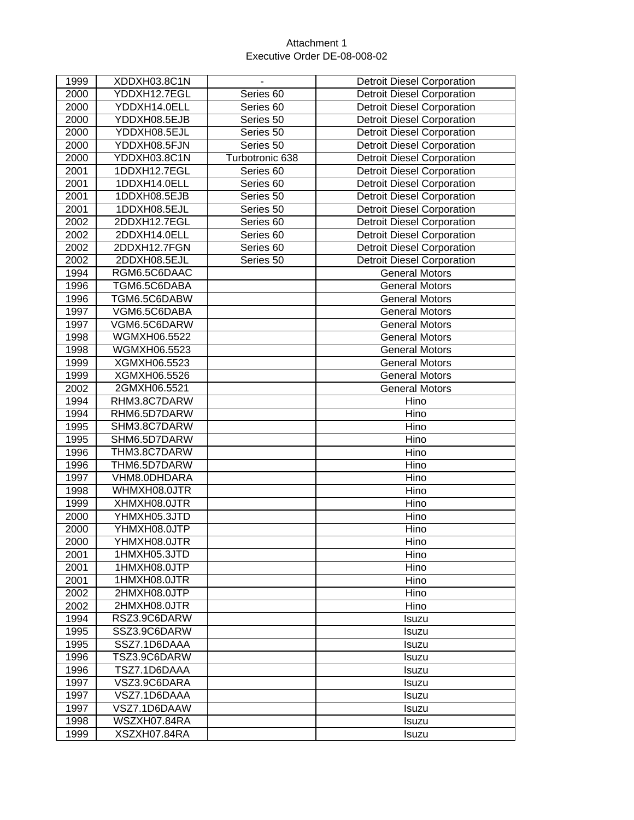| 1999 | XDDXH03.8C1N | $\overline{\phantom{a}}$ | <b>Detroit Diesel Corporation</b> |
|------|--------------|--------------------------|-----------------------------------|
| 2000 | YDDXH12.7EGL | Series 60                | <b>Detroit Diesel Corporation</b> |
| 2000 | YDDXH14.0ELL | Series <sub>60</sub>     | <b>Detroit Diesel Corporation</b> |
| 2000 | YDDXH08.5EJB | Series 50                | <b>Detroit Diesel Corporation</b> |
| 2000 | YDDXH08.5EJL | Series 50                | <b>Detroit Diesel Corporation</b> |
| 2000 | YDDXH08.5FJN | Series 50                | <b>Detroit Diesel Corporation</b> |
| 2000 | YDDXH03.8C1N | Turbotronic 638          | <b>Detroit Diesel Corporation</b> |
| 2001 | 1DDXH12.7EGL | Series <sub>60</sub>     | <b>Detroit Diesel Corporation</b> |
| 2001 | 1DDXH14.0ELL | Series 60                | <b>Detroit Diesel Corporation</b> |
| 2001 | 1DDXH08.5EJB | Series 50                | <b>Detroit Diesel Corporation</b> |
| 2001 | 1DDXH08.5EJL | Series 50                | Detroit Diesel Corporation        |
| 2002 | 2DDXH12.7EGL | Series 60                | <b>Detroit Diesel Corporation</b> |
| 2002 | 2DDXH14.0ELL | Series 60                | <b>Detroit Diesel Corporation</b> |
| 2002 | 2DDXH12.7FGN | Series 60                | <b>Detroit Diesel Corporation</b> |
| 2002 | 2DDXH08.5EJL | Series 50                | <b>Detroit Diesel Corporation</b> |
| 1994 | RGM6.5C6DAAC |                          | <b>General Motors</b>             |
| 1996 | TGM6.5C6DABA |                          | <b>General Motors</b>             |
| 1996 | TGM6.5C6DABW |                          | <b>General Motors</b>             |
| 1997 | VGM6.5C6DABA |                          | <b>General Motors</b>             |
| 1997 | VGM6.5C6DARW |                          | <b>General Motors</b>             |
| 1998 | WGMXH06.5522 |                          | <b>General Motors</b>             |
| 1998 | WGMXH06.5523 |                          | <b>General Motors</b>             |
| 1999 | XGMXH06.5523 |                          | <b>General Motors</b>             |
| 1999 | XGMXH06.5526 |                          | <b>General Motors</b>             |
| 2002 | 2GMXH06.5521 |                          | <b>General Motors</b>             |
| 1994 | RHM3.8C7DARW |                          | Hino                              |
| 1994 | RHM6.5D7DARW |                          | Hino                              |
| 1995 | SHM3.8C7DARW |                          | Hino                              |
| 1995 | SHM6.5D7DARW |                          | Hino                              |
| 1996 | THM3.8C7DARW |                          | Hino                              |
| 1996 | THM6.5D7DARW |                          | Hino                              |
| 1997 | VHM8.0DHDARA |                          | Hino                              |
| 1998 | WHMXH08.0JTR |                          | Hino                              |
| 1999 | XHMXH08.0JTR |                          | Hino                              |
| 2000 | YHMXH05.3JTD |                          | Hino                              |
| 2000 | YHMXH08.0JTP |                          | Hino                              |
| 2000 | YHMXH08.0JTR |                          | Hino                              |
| 2001 | 1HMXH05.3JTD |                          | Hino                              |
| 2001 | 1HMXH08.0JTP |                          | Hino                              |
| 2001 | 1HMXH08.0JTR |                          | Hino                              |
| 2002 | 2HMXH08.0JTP |                          | Hino                              |
| 2002 | 2HMXH08.0JTR |                          | Hino                              |
| 1994 | RSZ3.9C6DARW |                          | Isuzu                             |
| 1995 | SSZ3.9C6DARW |                          | Isuzu                             |
| 1995 | SSZ7.1D6DAAA |                          | Isuzu                             |
| 1996 | TSZ3.9C6DARW |                          | Isuzu                             |
| 1996 | TSZ7.1D6DAAA |                          | Isuzu                             |
| 1997 | VSZ3.9C6DARA |                          | <b>Isuzu</b>                      |
| 1997 | VSZ7.1D6DAAA |                          | Isuzu                             |
| 1997 | VSZ7.1D6DAAW |                          | Isuzu                             |
| 1998 | WSZXH07.84RA |                          | Isuzu                             |
| 1999 | XSZXH07.84RA |                          | Isuzu                             |
|      |              |                          |                                   |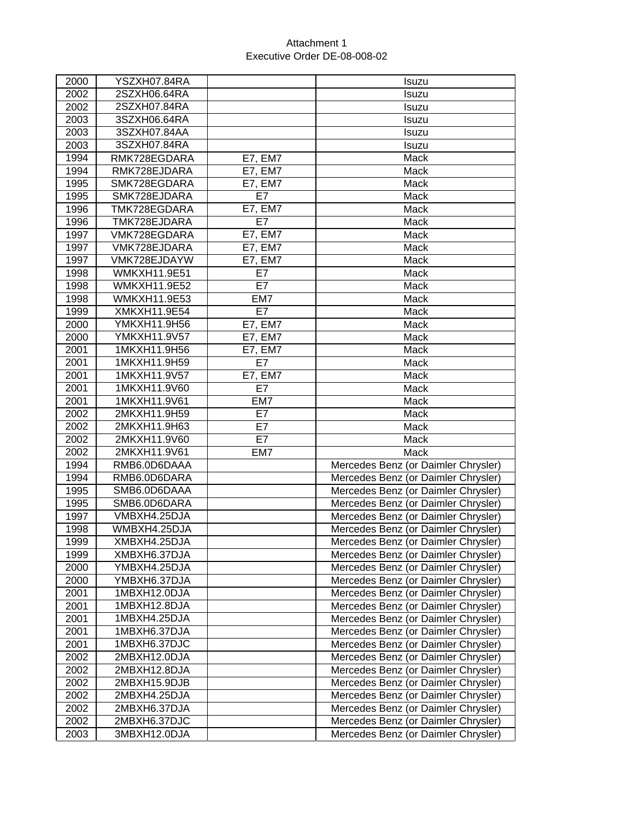| 2000 | YSZXH07.84RA        |                | Isuzu                               |
|------|---------------------|----------------|-------------------------------------|
| 2002 | 2SZXH06.64RA        |                | Isuzu                               |
| 2002 | 2SZXH07.84RA        |                | Isuzu                               |
| 2003 | 3SZXH06.64RA        |                | Isuzu                               |
| 2003 | 3SZXH07.84AA        |                | Isuzu                               |
| 2003 | 3SZXH07.84RA        |                | Isuzu                               |
| 1994 | RMK728EGDARA        | <b>E7, EM7</b> | Mack                                |
| 1994 | RMK728EJDARA        | E7, EM7        | Mack                                |
| 1995 | SMK728EGDARA        | E7, EM7        | Mack                                |
| 1995 | SMK728EJDARA        | E7             | Mack                                |
| 1996 | TMK728EGDARA        | <b>E7, EM7</b> | Mack                                |
| 1996 | TMK728EJDARA        | E7             | Mack                                |
| 1997 | VMK728EGDARA        | <b>E7, EM7</b> | Mack                                |
| 1997 | VMK728EJDARA        | E7, EM7        | Mack                                |
| 1997 | VMK728EJDAYW        | <b>E7, EM7</b> | Mack                                |
| 1998 | <b>WMKXH11.9E51</b> | E7             | Mack                                |
| 1998 | <b>WMKXH11.9E52</b> | E7             | Mack                                |
| 1998 | <b>WMKXH11.9E53</b> | EM7            | Mack                                |
| 1999 | XMKXH11.9E54        | E7             | Mack                                |
| 2000 | YMKXH11.9H56        | <b>E7, EM7</b> | Mack                                |
| 2000 | YMKXH11.9V57        | <b>E7, EM7</b> | Mack                                |
| 2001 | 1MKXH11.9H56        | E7, EM7        | Mack                                |
| 2001 | 1MKXH11.9H59        | E7             | Mack                                |
| 2001 | 1MKXH11.9V57        | E7, EM7        | Mack                                |
| 2001 | 1MKXH11.9V60        | E7             | Mack                                |
| 2001 | 1MKXH11.9V61        | EM7            | Mack                                |
| 2002 | 2MKXH11.9H59        | E7             | Mack                                |
| 2002 | 2MKXH11.9H63        | E7             | Mack                                |
| 2002 | 2MKXH11.9V60        | E7             | Mack                                |
| 2002 | 2MKXH11.9V61        | EM7            | Mack                                |
| 1994 | RMB6.0D6DAAA        |                | Mercedes Benz (or Daimler Chrysler) |
| 1994 | RMB6.0D6DARA        |                | Mercedes Benz (or Daimler Chrysler) |
| 1995 | SMB6.0D6DAAA        |                | Mercedes Benz (or Daimler Chrysler) |
| 1995 | SMB6.0D6DARA        |                | Mercedes Benz (or Daimler Chrysler) |
| 1997 | VMBXH4.25DJA        |                | Mercedes Benz (or Daimler Chrysler) |
| 1998 | WMBXH4.25DJA        |                | Mercedes Benz (or Daimler Chrysler) |
| 1999 | XMBXH4.25DJA        |                | Mercedes Benz (or Daimler Chrysler) |
| 1999 | XMBXH6.37DJA        |                | Mercedes Benz (or Daimler Chrysler) |
| 2000 | YMBXH4.25DJA        |                | Mercedes Benz (or Daimler Chrysler) |
| 2000 | YMBXH6.37DJA        |                | Mercedes Benz (or Daimler Chrysler) |
| 2001 | 1MBXH12.0DJA        |                | Mercedes Benz (or Daimler Chrysler) |
| 2001 | 1MBXH12.8DJA        |                | Mercedes Benz (or Daimler Chrysler) |
| 2001 | 1MBXH4.25DJA        |                | Mercedes Benz (or Daimler Chrysler) |
| 2001 | 1MBXH6.37DJA        |                | Mercedes Benz (or Daimler Chrysler) |
| 2001 | 1MBXH6.37DJC        |                | Mercedes Benz (or Daimler Chrysler) |
| 2002 | 2MBXH12.0DJA        |                | Mercedes Benz (or Daimler Chrysler) |
| 2002 | 2MBXH12.8DJA        |                | Mercedes Benz (or Daimler Chrysler) |
| 2002 | 2MBXH15.9DJB        |                | Mercedes Benz (or Daimler Chrysler) |
| 2002 | 2MBXH4.25DJA        |                | Mercedes Benz (or Daimler Chrysler) |
| 2002 | 2MBXH6.37DJA        |                | Mercedes Benz (or Daimler Chrysler) |
| 2002 | 2MBXH6.37DJC        |                | Mercedes Benz (or Daimler Chrysler) |
| 2003 | 3MBXH12.0DJA        |                | Mercedes Benz (or Daimler Chrysler) |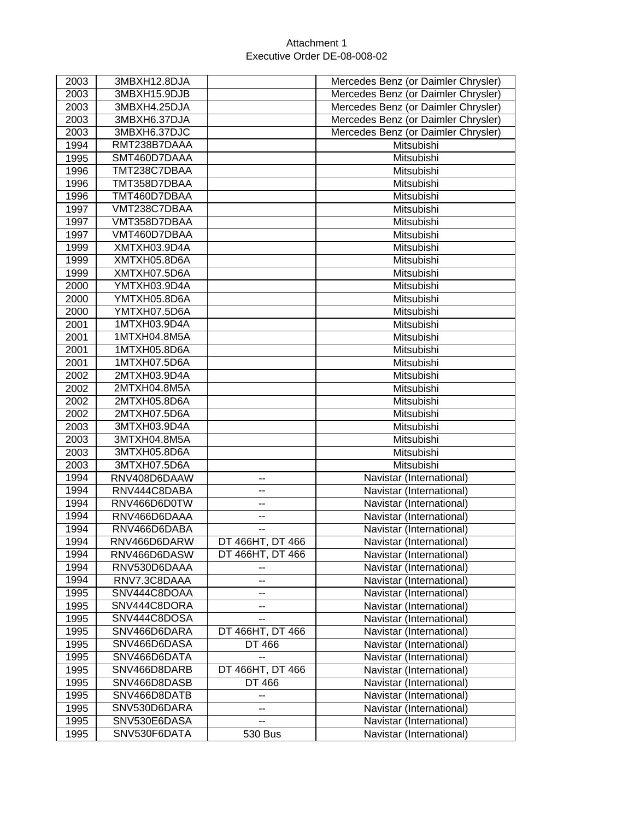| 2003            | 3MBXH12.8DJA                 |                                      | Mercedes Benz (or Daimler Chrysler)                  |
|-----------------|------------------------------|--------------------------------------|------------------------------------------------------|
| 2003            | 3MBXH15.9DJB                 |                                      | Mercedes Benz (or Daimler Chrysler)                  |
| 2003            | 3MBXH4.25DJA                 |                                      | Mercedes Benz (or Daimler Chrysler)                  |
| 2003            | 3MBXH6.37DJA                 |                                      | Mercedes Benz (or Daimler Chrysler)                  |
| 2003            | 3MBXH6.37DJC                 |                                      | Mercedes Benz (or Daimler Chrysler)                  |
| 1994            | RMT238B7DAAA                 |                                      | Mitsubishi                                           |
| 1995            | SMT460D7DAAA                 |                                      | Mitsubishi                                           |
| 1996            | TMT238C7DBAA                 |                                      | Mitsubishi                                           |
| 1996            | TMT358D7DBAA                 |                                      | Mitsubishi                                           |
| 1996            | TMT460D7DBAA                 |                                      | Mitsubishi                                           |
| 1997            | VMT238C7DBAA                 |                                      | Mitsubishi                                           |
| 1997            | VMT358D7DBAA                 |                                      | Mitsubishi                                           |
| 1997            | VMT460D7DBAA                 |                                      | Mitsubishi                                           |
| 1999            | XMTXH03.9D4A                 |                                      | Mitsubishi                                           |
| 1999            | XMTXH05.8D6A                 |                                      | Mitsubishi                                           |
| 1999            | XMTXH07.5D6A                 |                                      | Mitsubishi                                           |
| 2000            | YMTXH03.9D4A                 |                                      | Mitsubishi                                           |
| 2000            | YMTXH05.8D6A                 |                                      | Mitsubishi                                           |
| 2000            | YMTXH07.5D6A                 |                                      | Mitsubishi                                           |
| 2001            | 1MTXH03.9D4A                 |                                      | Mitsubishi                                           |
| 2001            | 1MTXH04.8M5A                 |                                      | Mitsubishi                                           |
| 2001            | 1MTXH05.8D6A                 |                                      | Mitsubishi                                           |
| 2001            | 1MTXH07.5D6A                 |                                      | Mitsubishi                                           |
| 2002            | 2MTXH03.9D4A                 |                                      | Mitsubishi                                           |
| 2002            | 2MTXH04.8M5A                 |                                      | Mitsubishi                                           |
| 2002            | 2MTXH05.8D6A                 |                                      | Mitsubishi                                           |
| 2002            | 2MTXH07.5D6A                 |                                      | Mitsubishi                                           |
| $\frac{200}{3}$ | 3MTXH03.9D4A                 |                                      | Mitsubishi                                           |
| 2003            | 3MTXH04.8M5A                 |                                      | Mitsubishi                                           |
| 2003            | 3MTXH05.8D6A                 |                                      | Mitsubishi                                           |
| 2003            | 3MTXH07.5D6A                 |                                      | Mitsubishi                                           |
| 1994            | RNV408D6DAAW                 | --                                   | Navistar (International)                             |
| 1994            | RNV444C8DABA                 | $\overline{\phantom{a}}$             | Navistar (International)                             |
| 1994            | RNV466D6D0TW                 | --                                   | Navistar (International)                             |
| 1994            | RNV466D6DAAA                 | --                                   | Navistar (International)                             |
| 1994            | RNV466D6DABA                 | --                                   | Navistar (International)                             |
|                 | RNV466D6DARW                 |                                      |                                                      |
| 1994<br>1994    |                              | DT 466HT, DT 466<br>DT 466HT, DT 466 | Navistar (International)                             |
| 1994            | RNV466D6DASW                 |                                      | Navistar (International)<br>Navistar (International) |
| 1994            | RNV530D6DAAA<br>RNV7.3C8DAAA | ۰.                                   | Navistar (International)                             |
|                 | SNV444C8DOAA                 | --                                   |                                                      |
| 1995            |                              | ۰.                                   | Navistar (International)                             |
| 1995            | SNV444C8DORA                 | --                                   | Navistar (International)                             |
| 1995            | SNV444C8DOSA                 | $-$                                  | Navistar (International)                             |
| 1995            | SNV466D6DARA                 | DT 466HT, DT 466                     | Navistar (International)                             |
| 1995            | SNV466D6DASA                 | DT 466                               | Navistar (International)                             |
| 1995            | SNV466D6DATA                 | --                                   | Navistar (International)                             |
| 1995            | SNV466D8DARB                 | DT 466HT, DT 466                     | Navistar (International)                             |
| 1995            | SNV466D8DASB                 | DT 466                               | Navistar (International)                             |
| 1995            | SNV466D8DATB                 |                                      | Navistar (International)                             |
| 1995            | SNV530D6DARA                 | ۰.                                   | Navistar (International)                             |
| 1995            | SNV530E6DASA                 | --                                   | Navistar (International)                             |
| 1995            | SNV530F6DATA                 | 530 Bus                              | Navistar (International)                             |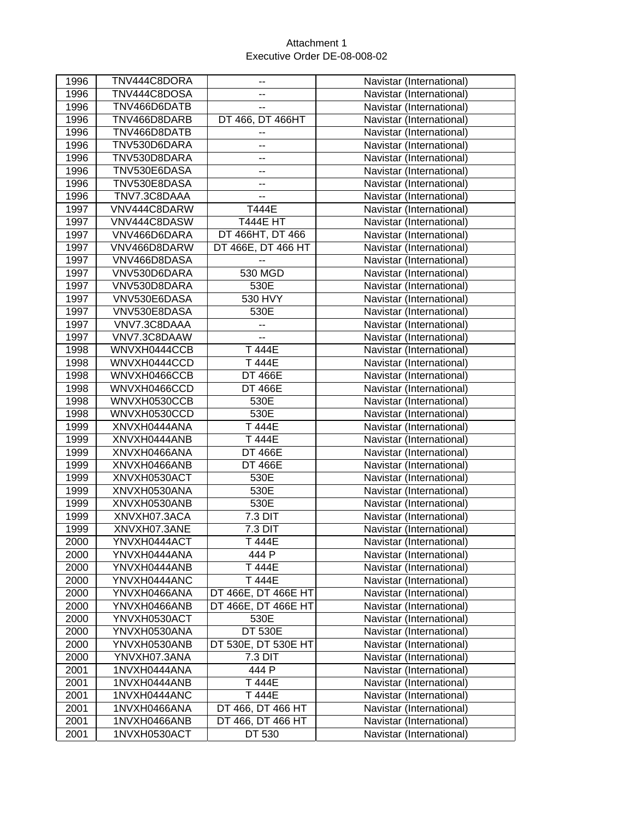| TNV444C8DOSA<br>1996<br>Navistar (International)<br>--<br>1996<br>TNV466D6DATB<br>Navistar (International)<br>--<br>1996<br>DT 466, DT 466HT<br>TNV466D8DARB<br>Navistar (International)<br>1996<br>TNV466D8DATB<br>Navistar (International)<br>--<br>1996<br>TNV530D6DARA<br>Navistar (International)<br>۰.<br>1996<br>TNV530D8DARA<br>Navistar (International)<br>$\overline{a}$<br>1996<br>TNV530E6DASA<br>Navistar (International)<br>۰.<br>1996<br>TNV530E8DASA<br>Navistar (International)<br>--<br>1996<br>TNV7.3C8DAAA<br>Navistar (International)<br>--<br>1997<br>T444E<br>VNV444C8DARW<br>Navistar (International)<br>1997<br>VNV444C8DASW<br><b>T444E HT</b><br>Navistar (International)<br>DT 466HT, DT 466<br>1997<br>VNV466D6DARA<br>Navistar (International)<br>VNV466D8DARW<br>1997<br>DT 466E, DT 466 HT<br>Navistar (International)<br>1997<br>VNV466D8DASA<br>Navistar (International)<br>$\overline{\phantom{a}}$<br>1997<br>VNV530D6DARA<br>530 MGD<br>Navistar (International)<br>1997<br>VNV530D8DARA<br>530E<br>Navistar (International)<br>530 HVY<br>1997<br>VNV530E6DASA<br>Navistar (International)<br>1997<br>VNV530E8DASA<br>530E<br>Navistar (International)<br>1997<br>VNV7.3C8DAAA<br>Navistar (International)<br>--<br>1997<br>VNV7.3C8DAAW<br>Navistar (International)<br>۰.<br>1998<br>WNVXH0444CCB<br>T 444E<br>Navistar (International)<br>1998<br>WNVXH0444CCD<br>T 444E<br>Navistar (International)<br>1998<br>WNVXH0466CCB<br><b>DT 466E</b><br>Navistar (International)<br>1998<br>WNVXH0466CCD<br><b>DT 466E</b><br>Navistar (International)<br>530E<br>1998<br>WNVXH0530CCB<br>Navistar (International)<br>1998<br>WNVXH0530CCD<br>530E<br>Navistar (International)<br>1999<br>T 444E<br>XNVXH0444ANA<br>Navistar (International)<br>1999<br>XNVXH0444ANB<br>T 444E<br>Navistar (International)<br>1999<br>XNVXH0466ANA<br><b>DT 466E</b><br>Navistar (International)<br><b>DT 466E</b><br>1999<br>XNVXH0466ANB<br>Navistar (International)<br>1999<br>XNVXH0530ACT<br>530E<br>Navistar (International)<br>1999<br>530E<br>XNVXH0530ANA<br>Navistar (International)<br>1999<br>XNVXH0530ANB<br>530E<br>Navistar (International)<br>7.3 DIT<br>1999<br>XNVXH07.3ACA<br>Navistar (International)<br>1999<br>XNVXH07.3ANE<br>7.3 DIT<br>Navistar (International)<br>2000<br>YNVXH0444ACT<br>T 444E<br>Navistar (International)<br>444 P<br>2000<br>Navistar (International)<br>YNVXH0444ANA<br>2000<br>YNVXH0444ANB<br>T 444E<br>Navistar (International)<br>T 444E<br>2000<br>Navistar (International)<br>YNVXH0444ANC<br>2000<br>DT 466E, DT 466E HT<br>Navistar (International)<br>YNVXH0466ANA<br>2000<br>YNVXH0466ANB<br>DT 466E, DT 466E HT<br>Navistar (International)<br>2000<br>YNVXH0530ACT<br>530E<br>Navistar (International)<br>2000<br><b>DT 530E</b><br>YNVXH0530ANA<br>Navistar (International)<br>DT 530E, DT 530E HT<br>2000<br>YNVXH0530ANB<br>Navistar (International)<br>2000<br>YNVXH07.3ANA<br>7.3 DIT<br>Navistar (International)<br>444 P<br>2001<br>1NVXH0444ANA<br>Navistar (International)<br>T 444E<br>2001<br>1NVXH0444ANB<br>Navistar (International)<br>2001<br>T 444E<br>Navistar (International)<br>1NVXH0444ANC<br>2001<br>DT 466, DT 466 HT<br>Navistar (International)<br>1NVXH0466ANA<br>2001<br>1NVXH0466ANB<br>DT 466, DT 466 HT<br>Navistar (International)<br>2001<br>1NVXH0530ACT<br>DT 530<br>Navistar (International) | 1996 | TNV444C8DORA | -- | Navistar (International) |
|--------------------------------------------------------------------------------------------------------------------------------------------------------------------------------------------------------------------------------------------------------------------------------------------------------------------------------------------------------------------------------------------------------------------------------------------------------------------------------------------------------------------------------------------------------------------------------------------------------------------------------------------------------------------------------------------------------------------------------------------------------------------------------------------------------------------------------------------------------------------------------------------------------------------------------------------------------------------------------------------------------------------------------------------------------------------------------------------------------------------------------------------------------------------------------------------------------------------------------------------------------------------------------------------------------------------------------------------------------------------------------------------------------------------------------------------------------------------------------------------------------------------------------------------------------------------------------------------------------------------------------------------------------------------------------------------------------------------------------------------------------------------------------------------------------------------------------------------------------------------------------------------------------------------------------------------------------------------------------------------------------------------------------------------------------------------------------------------------------------------------------------------------------------------------------------------------------------------------------------------------------------------------------------------------------------------------------------------------------------------------------------------------------------------------------------------------------------------------------------------------------------------------------------------------------------------------------------------------------------------------------------------------------------------------------------------------------------------------------------------------------------------------------------------------------------------------------------------------------------------------------------------------------------------------------------------------------------------------------------------------------------------------------------------------------------------------------------------------------------------------------------------------------------------------------------------------------------------------------------------------------------------------------------------------------------------------------------------------------------------------------------------------------------|------|--------------|----|--------------------------|
|                                                                                                                                                                                                                                                                                                                                                                                                                                                                                                                                                                                                                                                                                                                                                                                                                                                                                                                                                                                                                                                                                                                                                                                                                                                                                                                                                                                                                                                                                                                                                                                                                                                                                                                                                                                                                                                                                                                                                                                                                                                                                                                                                                                                                                                                                                                                                                                                                                                                                                                                                                                                                                                                                                                                                                                                                                                                                                                                                                                                                                                                                                                                                                                                                                                                                                                                                                                                              |      |              |    |                          |
|                                                                                                                                                                                                                                                                                                                                                                                                                                                                                                                                                                                                                                                                                                                                                                                                                                                                                                                                                                                                                                                                                                                                                                                                                                                                                                                                                                                                                                                                                                                                                                                                                                                                                                                                                                                                                                                                                                                                                                                                                                                                                                                                                                                                                                                                                                                                                                                                                                                                                                                                                                                                                                                                                                                                                                                                                                                                                                                                                                                                                                                                                                                                                                                                                                                                                                                                                                                                              |      |              |    |                          |
|                                                                                                                                                                                                                                                                                                                                                                                                                                                                                                                                                                                                                                                                                                                                                                                                                                                                                                                                                                                                                                                                                                                                                                                                                                                                                                                                                                                                                                                                                                                                                                                                                                                                                                                                                                                                                                                                                                                                                                                                                                                                                                                                                                                                                                                                                                                                                                                                                                                                                                                                                                                                                                                                                                                                                                                                                                                                                                                                                                                                                                                                                                                                                                                                                                                                                                                                                                                                              |      |              |    |                          |
|                                                                                                                                                                                                                                                                                                                                                                                                                                                                                                                                                                                                                                                                                                                                                                                                                                                                                                                                                                                                                                                                                                                                                                                                                                                                                                                                                                                                                                                                                                                                                                                                                                                                                                                                                                                                                                                                                                                                                                                                                                                                                                                                                                                                                                                                                                                                                                                                                                                                                                                                                                                                                                                                                                                                                                                                                                                                                                                                                                                                                                                                                                                                                                                                                                                                                                                                                                                                              |      |              |    |                          |
|                                                                                                                                                                                                                                                                                                                                                                                                                                                                                                                                                                                                                                                                                                                                                                                                                                                                                                                                                                                                                                                                                                                                                                                                                                                                                                                                                                                                                                                                                                                                                                                                                                                                                                                                                                                                                                                                                                                                                                                                                                                                                                                                                                                                                                                                                                                                                                                                                                                                                                                                                                                                                                                                                                                                                                                                                                                                                                                                                                                                                                                                                                                                                                                                                                                                                                                                                                                                              |      |              |    |                          |
|                                                                                                                                                                                                                                                                                                                                                                                                                                                                                                                                                                                                                                                                                                                                                                                                                                                                                                                                                                                                                                                                                                                                                                                                                                                                                                                                                                                                                                                                                                                                                                                                                                                                                                                                                                                                                                                                                                                                                                                                                                                                                                                                                                                                                                                                                                                                                                                                                                                                                                                                                                                                                                                                                                                                                                                                                                                                                                                                                                                                                                                                                                                                                                                                                                                                                                                                                                                                              |      |              |    |                          |
|                                                                                                                                                                                                                                                                                                                                                                                                                                                                                                                                                                                                                                                                                                                                                                                                                                                                                                                                                                                                                                                                                                                                                                                                                                                                                                                                                                                                                                                                                                                                                                                                                                                                                                                                                                                                                                                                                                                                                                                                                                                                                                                                                                                                                                                                                                                                                                                                                                                                                                                                                                                                                                                                                                                                                                                                                                                                                                                                                                                                                                                                                                                                                                                                                                                                                                                                                                                                              |      |              |    |                          |
|                                                                                                                                                                                                                                                                                                                                                                                                                                                                                                                                                                                                                                                                                                                                                                                                                                                                                                                                                                                                                                                                                                                                                                                                                                                                                                                                                                                                                                                                                                                                                                                                                                                                                                                                                                                                                                                                                                                                                                                                                                                                                                                                                                                                                                                                                                                                                                                                                                                                                                                                                                                                                                                                                                                                                                                                                                                                                                                                                                                                                                                                                                                                                                                                                                                                                                                                                                                                              |      |              |    |                          |
|                                                                                                                                                                                                                                                                                                                                                                                                                                                                                                                                                                                                                                                                                                                                                                                                                                                                                                                                                                                                                                                                                                                                                                                                                                                                                                                                                                                                                                                                                                                                                                                                                                                                                                                                                                                                                                                                                                                                                                                                                                                                                                                                                                                                                                                                                                                                                                                                                                                                                                                                                                                                                                                                                                                                                                                                                                                                                                                                                                                                                                                                                                                                                                                                                                                                                                                                                                                                              |      |              |    |                          |
|                                                                                                                                                                                                                                                                                                                                                                                                                                                                                                                                                                                                                                                                                                                                                                                                                                                                                                                                                                                                                                                                                                                                                                                                                                                                                                                                                                                                                                                                                                                                                                                                                                                                                                                                                                                                                                                                                                                                                                                                                                                                                                                                                                                                                                                                                                                                                                                                                                                                                                                                                                                                                                                                                                                                                                                                                                                                                                                                                                                                                                                                                                                                                                                                                                                                                                                                                                                                              |      |              |    |                          |
|                                                                                                                                                                                                                                                                                                                                                                                                                                                                                                                                                                                                                                                                                                                                                                                                                                                                                                                                                                                                                                                                                                                                                                                                                                                                                                                                                                                                                                                                                                                                                                                                                                                                                                                                                                                                                                                                                                                                                                                                                                                                                                                                                                                                                                                                                                                                                                                                                                                                                                                                                                                                                                                                                                                                                                                                                                                                                                                                                                                                                                                                                                                                                                                                                                                                                                                                                                                                              |      |              |    |                          |
|                                                                                                                                                                                                                                                                                                                                                                                                                                                                                                                                                                                                                                                                                                                                                                                                                                                                                                                                                                                                                                                                                                                                                                                                                                                                                                                                                                                                                                                                                                                                                                                                                                                                                                                                                                                                                                                                                                                                                                                                                                                                                                                                                                                                                                                                                                                                                                                                                                                                                                                                                                                                                                                                                                                                                                                                                                                                                                                                                                                                                                                                                                                                                                                                                                                                                                                                                                                                              |      |              |    |                          |
|                                                                                                                                                                                                                                                                                                                                                                                                                                                                                                                                                                                                                                                                                                                                                                                                                                                                                                                                                                                                                                                                                                                                                                                                                                                                                                                                                                                                                                                                                                                                                                                                                                                                                                                                                                                                                                                                                                                                                                                                                                                                                                                                                                                                                                                                                                                                                                                                                                                                                                                                                                                                                                                                                                                                                                                                                                                                                                                                                                                                                                                                                                                                                                                                                                                                                                                                                                                                              |      |              |    |                          |
|                                                                                                                                                                                                                                                                                                                                                                                                                                                                                                                                                                                                                                                                                                                                                                                                                                                                                                                                                                                                                                                                                                                                                                                                                                                                                                                                                                                                                                                                                                                                                                                                                                                                                                                                                                                                                                                                                                                                                                                                                                                                                                                                                                                                                                                                                                                                                                                                                                                                                                                                                                                                                                                                                                                                                                                                                                                                                                                                                                                                                                                                                                                                                                                                                                                                                                                                                                                                              |      |              |    |                          |
|                                                                                                                                                                                                                                                                                                                                                                                                                                                                                                                                                                                                                                                                                                                                                                                                                                                                                                                                                                                                                                                                                                                                                                                                                                                                                                                                                                                                                                                                                                                                                                                                                                                                                                                                                                                                                                                                                                                                                                                                                                                                                                                                                                                                                                                                                                                                                                                                                                                                                                                                                                                                                                                                                                                                                                                                                                                                                                                                                                                                                                                                                                                                                                                                                                                                                                                                                                                                              |      |              |    |                          |
|                                                                                                                                                                                                                                                                                                                                                                                                                                                                                                                                                                                                                                                                                                                                                                                                                                                                                                                                                                                                                                                                                                                                                                                                                                                                                                                                                                                                                                                                                                                                                                                                                                                                                                                                                                                                                                                                                                                                                                                                                                                                                                                                                                                                                                                                                                                                                                                                                                                                                                                                                                                                                                                                                                                                                                                                                                                                                                                                                                                                                                                                                                                                                                                                                                                                                                                                                                                                              |      |              |    |                          |
|                                                                                                                                                                                                                                                                                                                                                                                                                                                                                                                                                                                                                                                                                                                                                                                                                                                                                                                                                                                                                                                                                                                                                                                                                                                                                                                                                                                                                                                                                                                                                                                                                                                                                                                                                                                                                                                                                                                                                                                                                                                                                                                                                                                                                                                                                                                                                                                                                                                                                                                                                                                                                                                                                                                                                                                                                                                                                                                                                                                                                                                                                                                                                                                                                                                                                                                                                                                                              |      |              |    |                          |
|                                                                                                                                                                                                                                                                                                                                                                                                                                                                                                                                                                                                                                                                                                                                                                                                                                                                                                                                                                                                                                                                                                                                                                                                                                                                                                                                                                                                                                                                                                                                                                                                                                                                                                                                                                                                                                                                                                                                                                                                                                                                                                                                                                                                                                                                                                                                                                                                                                                                                                                                                                                                                                                                                                                                                                                                                                                                                                                                                                                                                                                                                                                                                                                                                                                                                                                                                                                                              |      |              |    |                          |
|                                                                                                                                                                                                                                                                                                                                                                                                                                                                                                                                                                                                                                                                                                                                                                                                                                                                                                                                                                                                                                                                                                                                                                                                                                                                                                                                                                                                                                                                                                                                                                                                                                                                                                                                                                                                                                                                                                                                                                                                                                                                                                                                                                                                                                                                                                                                                                                                                                                                                                                                                                                                                                                                                                                                                                                                                                                                                                                                                                                                                                                                                                                                                                                                                                                                                                                                                                                                              |      |              |    |                          |
|                                                                                                                                                                                                                                                                                                                                                                                                                                                                                                                                                                                                                                                                                                                                                                                                                                                                                                                                                                                                                                                                                                                                                                                                                                                                                                                                                                                                                                                                                                                                                                                                                                                                                                                                                                                                                                                                                                                                                                                                                                                                                                                                                                                                                                                                                                                                                                                                                                                                                                                                                                                                                                                                                                                                                                                                                                                                                                                                                                                                                                                                                                                                                                                                                                                                                                                                                                                                              |      |              |    |                          |
|                                                                                                                                                                                                                                                                                                                                                                                                                                                                                                                                                                                                                                                                                                                                                                                                                                                                                                                                                                                                                                                                                                                                                                                                                                                                                                                                                                                                                                                                                                                                                                                                                                                                                                                                                                                                                                                                                                                                                                                                                                                                                                                                                                                                                                                                                                                                                                                                                                                                                                                                                                                                                                                                                                                                                                                                                                                                                                                                                                                                                                                                                                                                                                                                                                                                                                                                                                                                              |      |              |    |                          |
|                                                                                                                                                                                                                                                                                                                                                                                                                                                                                                                                                                                                                                                                                                                                                                                                                                                                                                                                                                                                                                                                                                                                                                                                                                                                                                                                                                                                                                                                                                                                                                                                                                                                                                                                                                                                                                                                                                                                                                                                                                                                                                                                                                                                                                                                                                                                                                                                                                                                                                                                                                                                                                                                                                                                                                                                                                                                                                                                                                                                                                                                                                                                                                                                                                                                                                                                                                                                              |      |              |    |                          |
|                                                                                                                                                                                                                                                                                                                                                                                                                                                                                                                                                                                                                                                                                                                                                                                                                                                                                                                                                                                                                                                                                                                                                                                                                                                                                                                                                                                                                                                                                                                                                                                                                                                                                                                                                                                                                                                                                                                                                                                                                                                                                                                                                                                                                                                                                                                                                                                                                                                                                                                                                                                                                                                                                                                                                                                                                                                                                                                                                                                                                                                                                                                                                                                                                                                                                                                                                                                                              |      |              |    |                          |
|                                                                                                                                                                                                                                                                                                                                                                                                                                                                                                                                                                                                                                                                                                                                                                                                                                                                                                                                                                                                                                                                                                                                                                                                                                                                                                                                                                                                                                                                                                                                                                                                                                                                                                                                                                                                                                                                                                                                                                                                                                                                                                                                                                                                                                                                                                                                                                                                                                                                                                                                                                                                                                                                                                                                                                                                                                                                                                                                                                                                                                                                                                                                                                                                                                                                                                                                                                                                              |      |              |    |                          |
|                                                                                                                                                                                                                                                                                                                                                                                                                                                                                                                                                                                                                                                                                                                                                                                                                                                                                                                                                                                                                                                                                                                                                                                                                                                                                                                                                                                                                                                                                                                                                                                                                                                                                                                                                                                                                                                                                                                                                                                                                                                                                                                                                                                                                                                                                                                                                                                                                                                                                                                                                                                                                                                                                                                                                                                                                                                                                                                                                                                                                                                                                                                                                                                                                                                                                                                                                                                                              |      |              |    |                          |
|                                                                                                                                                                                                                                                                                                                                                                                                                                                                                                                                                                                                                                                                                                                                                                                                                                                                                                                                                                                                                                                                                                                                                                                                                                                                                                                                                                                                                                                                                                                                                                                                                                                                                                                                                                                                                                                                                                                                                                                                                                                                                                                                                                                                                                                                                                                                                                                                                                                                                                                                                                                                                                                                                                                                                                                                                                                                                                                                                                                                                                                                                                                                                                                                                                                                                                                                                                                                              |      |              |    |                          |
|                                                                                                                                                                                                                                                                                                                                                                                                                                                                                                                                                                                                                                                                                                                                                                                                                                                                                                                                                                                                                                                                                                                                                                                                                                                                                                                                                                                                                                                                                                                                                                                                                                                                                                                                                                                                                                                                                                                                                                                                                                                                                                                                                                                                                                                                                                                                                                                                                                                                                                                                                                                                                                                                                                                                                                                                                                                                                                                                                                                                                                                                                                                                                                                                                                                                                                                                                                                                              |      |              |    |                          |
|                                                                                                                                                                                                                                                                                                                                                                                                                                                                                                                                                                                                                                                                                                                                                                                                                                                                                                                                                                                                                                                                                                                                                                                                                                                                                                                                                                                                                                                                                                                                                                                                                                                                                                                                                                                                                                                                                                                                                                                                                                                                                                                                                                                                                                                                                                                                                                                                                                                                                                                                                                                                                                                                                                                                                                                                                                                                                                                                                                                                                                                                                                                                                                                                                                                                                                                                                                                                              |      |              |    |                          |
|                                                                                                                                                                                                                                                                                                                                                                                                                                                                                                                                                                                                                                                                                                                                                                                                                                                                                                                                                                                                                                                                                                                                                                                                                                                                                                                                                                                                                                                                                                                                                                                                                                                                                                                                                                                                                                                                                                                                                                                                                                                                                                                                                                                                                                                                                                                                                                                                                                                                                                                                                                                                                                                                                                                                                                                                                                                                                                                                                                                                                                                                                                                                                                                                                                                                                                                                                                                                              |      |              |    |                          |
|                                                                                                                                                                                                                                                                                                                                                                                                                                                                                                                                                                                                                                                                                                                                                                                                                                                                                                                                                                                                                                                                                                                                                                                                                                                                                                                                                                                                                                                                                                                                                                                                                                                                                                                                                                                                                                                                                                                                                                                                                                                                                                                                                                                                                                                                                                                                                                                                                                                                                                                                                                                                                                                                                                                                                                                                                                                                                                                                                                                                                                                                                                                                                                                                                                                                                                                                                                                                              |      |              |    |                          |
|                                                                                                                                                                                                                                                                                                                                                                                                                                                                                                                                                                                                                                                                                                                                                                                                                                                                                                                                                                                                                                                                                                                                                                                                                                                                                                                                                                                                                                                                                                                                                                                                                                                                                                                                                                                                                                                                                                                                                                                                                                                                                                                                                                                                                                                                                                                                                                                                                                                                                                                                                                                                                                                                                                                                                                                                                                                                                                                                                                                                                                                                                                                                                                                                                                                                                                                                                                                                              |      |              |    |                          |
|                                                                                                                                                                                                                                                                                                                                                                                                                                                                                                                                                                                                                                                                                                                                                                                                                                                                                                                                                                                                                                                                                                                                                                                                                                                                                                                                                                                                                                                                                                                                                                                                                                                                                                                                                                                                                                                                                                                                                                                                                                                                                                                                                                                                                                                                                                                                                                                                                                                                                                                                                                                                                                                                                                                                                                                                                                                                                                                                                                                                                                                                                                                                                                                                                                                                                                                                                                                                              |      |              |    |                          |
|                                                                                                                                                                                                                                                                                                                                                                                                                                                                                                                                                                                                                                                                                                                                                                                                                                                                                                                                                                                                                                                                                                                                                                                                                                                                                                                                                                                                                                                                                                                                                                                                                                                                                                                                                                                                                                                                                                                                                                                                                                                                                                                                                                                                                                                                                                                                                                                                                                                                                                                                                                                                                                                                                                                                                                                                                                                                                                                                                                                                                                                                                                                                                                                                                                                                                                                                                                                                              |      |              |    |                          |
|                                                                                                                                                                                                                                                                                                                                                                                                                                                                                                                                                                                                                                                                                                                                                                                                                                                                                                                                                                                                                                                                                                                                                                                                                                                                                                                                                                                                                                                                                                                                                                                                                                                                                                                                                                                                                                                                                                                                                                                                                                                                                                                                                                                                                                                                                                                                                                                                                                                                                                                                                                                                                                                                                                                                                                                                                                                                                                                                                                                                                                                                                                                                                                                                                                                                                                                                                                                                              |      |              |    |                          |
|                                                                                                                                                                                                                                                                                                                                                                                                                                                                                                                                                                                                                                                                                                                                                                                                                                                                                                                                                                                                                                                                                                                                                                                                                                                                                                                                                                                                                                                                                                                                                                                                                                                                                                                                                                                                                                                                                                                                                                                                                                                                                                                                                                                                                                                                                                                                                                                                                                                                                                                                                                                                                                                                                                                                                                                                                                                                                                                                                                                                                                                                                                                                                                                                                                                                                                                                                                                                              |      |              |    |                          |
|                                                                                                                                                                                                                                                                                                                                                                                                                                                                                                                                                                                                                                                                                                                                                                                                                                                                                                                                                                                                                                                                                                                                                                                                                                                                                                                                                                                                                                                                                                                                                                                                                                                                                                                                                                                                                                                                                                                                                                                                                                                                                                                                                                                                                                                                                                                                                                                                                                                                                                                                                                                                                                                                                                                                                                                                                                                                                                                                                                                                                                                                                                                                                                                                                                                                                                                                                                                                              |      |              |    |                          |
|                                                                                                                                                                                                                                                                                                                                                                                                                                                                                                                                                                                                                                                                                                                                                                                                                                                                                                                                                                                                                                                                                                                                                                                                                                                                                                                                                                                                                                                                                                                                                                                                                                                                                                                                                                                                                                                                                                                                                                                                                                                                                                                                                                                                                                                                                                                                                                                                                                                                                                                                                                                                                                                                                                                                                                                                                                                                                                                                                                                                                                                                                                                                                                                                                                                                                                                                                                                                              |      |              |    |                          |
|                                                                                                                                                                                                                                                                                                                                                                                                                                                                                                                                                                                                                                                                                                                                                                                                                                                                                                                                                                                                                                                                                                                                                                                                                                                                                                                                                                                                                                                                                                                                                                                                                                                                                                                                                                                                                                                                                                                                                                                                                                                                                                                                                                                                                                                                                                                                                                                                                                                                                                                                                                                                                                                                                                                                                                                                                                                                                                                                                                                                                                                                                                                                                                                                                                                                                                                                                                                                              |      |              |    |                          |
|                                                                                                                                                                                                                                                                                                                                                                                                                                                                                                                                                                                                                                                                                                                                                                                                                                                                                                                                                                                                                                                                                                                                                                                                                                                                                                                                                                                                                                                                                                                                                                                                                                                                                                                                                                                                                                                                                                                                                                                                                                                                                                                                                                                                                                                                                                                                                                                                                                                                                                                                                                                                                                                                                                                                                                                                                                                                                                                                                                                                                                                                                                                                                                                                                                                                                                                                                                                                              |      |              |    |                          |
|                                                                                                                                                                                                                                                                                                                                                                                                                                                                                                                                                                                                                                                                                                                                                                                                                                                                                                                                                                                                                                                                                                                                                                                                                                                                                                                                                                                                                                                                                                                                                                                                                                                                                                                                                                                                                                                                                                                                                                                                                                                                                                                                                                                                                                                                                                                                                                                                                                                                                                                                                                                                                                                                                                                                                                                                                                                                                                                                                                                                                                                                                                                                                                                                                                                                                                                                                                                                              |      |              |    |                          |
|                                                                                                                                                                                                                                                                                                                                                                                                                                                                                                                                                                                                                                                                                                                                                                                                                                                                                                                                                                                                                                                                                                                                                                                                                                                                                                                                                                                                                                                                                                                                                                                                                                                                                                                                                                                                                                                                                                                                                                                                                                                                                                                                                                                                                                                                                                                                                                                                                                                                                                                                                                                                                                                                                                                                                                                                                                                                                                                                                                                                                                                                                                                                                                                                                                                                                                                                                                                                              |      |              |    |                          |
|                                                                                                                                                                                                                                                                                                                                                                                                                                                                                                                                                                                                                                                                                                                                                                                                                                                                                                                                                                                                                                                                                                                                                                                                                                                                                                                                                                                                                                                                                                                                                                                                                                                                                                                                                                                                                                                                                                                                                                                                                                                                                                                                                                                                                                                                                                                                                                                                                                                                                                                                                                                                                                                                                                                                                                                                                                                                                                                                                                                                                                                                                                                                                                                                                                                                                                                                                                                                              |      |              |    |                          |
|                                                                                                                                                                                                                                                                                                                                                                                                                                                                                                                                                                                                                                                                                                                                                                                                                                                                                                                                                                                                                                                                                                                                                                                                                                                                                                                                                                                                                                                                                                                                                                                                                                                                                                                                                                                                                                                                                                                                                                                                                                                                                                                                                                                                                                                                                                                                                                                                                                                                                                                                                                                                                                                                                                                                                                                                                                                                                                                                                                                                                                                                                                                                                                                                                                                                                                                                                                                                              |      |              |    |                          |
|                                                                                                                                                                                                                                                                                                                                                                                                                                                                                                                                                                                                                                                                                                                                                                                                                                                                                                                                                                                                                                                                                                                                                                                                                                                                                                                                                                                                                                                                                                                                                                                                                                                                                                                                                                                                                                                                                                                                                                                                                                                                                                                                                                                                                                                                                                                                                                                                                                                                                                                                                                                                                                                                                                                                                                                                                                                                                                                                                                                                                                                                                                                                                                                                                                                                                                                                                                                                              |      |              |    |                          |
|                                                                                                                                                                                                                                                                                                                                                                                                                                                                                                                                                                                                                                                                                                                                                                                                                                                                                                                                                                                                                                                                                                                                                                                                                                                                                                                                                                                                                                                                                                                                                                                                                                                                                                                                                                                                                                                                                                                                                                                                                                                                                                                                                                                                                                                                                                                                                                                                                                                                                                                                                                                                                                                                                                                                                                                                                                                                                                                                                                                                                                                                                                                                                                                                                                                                                                                                                                                                              |      |              |    |                          |
|                                                                                                                                                                                                                                                                                                                                                                                                                                                                                                                                                                                                                                                                                                                                                                                                                                                                                                                                                                                                                                                                                                                                                                                                                                                                                                                                                                                                                                                                                                                                                                                                                                                                                                                                                                                                                                                                                                                                                                                                                                                                                                                                                                                                                                                                                                                                                                                                                                                                                                                                                                                                                                                                                                                                                                                                                                                                                                                                                                                                                                                                                                                                                                                                                                                                                                                                                                                                              |      |              |    |                          |
|                                                                                                                                                                                                                                                                                                                                                                                                                                                                                                                                                                                                                                                                                                                                                                                                                                                                                                                                                                                                                                                                                                                                                                                                                                                                                                                                                                                                                                                                                                                                                                                                                                                                                                                                                                                                                                                                                                                                                                                                                                                                                                                                                                                                                                                                                                                                                                                                                                                                                                                                                                                                                                                                                                                                                                                                                                                                                                                                                                                                                                                                                                                                                                                                                                                                                                                                                                                                              |      |              |    |                          |
|                                                                                                                                                                                                                                                                                                                                                                                                                                                                                                                                                                                                                                                                                                                                                                                                                                                                                                                                                                                                                                                                                                                                                                                                                                                                                                                                                                                                                                                                                                                                                                                                                                                                                                                                                                                                                                                                                                                                                                                                                                                                                                                                                                                                                                                                                                                                                                                                                                                                                                                                                                                                                                                                                                                                                                                                                                                                                                                                                                                                                                                                                                                                                                                                                                                                                                                                                                                                              |      |              |    |                          |
|                                                                                                                                                                                                                                                                                                                                                                                                                                                                                                                                                                                                                                                                                                                                                                                                                                                                                                                                                                                                                                                                                                                                                                                                                                                                                                                                                                                                                                                                                                                                                                                                                                                                                                                                                                                                                                                                                                                                                                                                                                                                                                                                                                                                                                                                                                                                                                                                                                                                                                                                                                                                                                                                                                                                                                                                                                                                                                                                                                                                                                                                                                                                                                                                                                                                                                                                                                                                              |      |              |    |                          |
|                                                                                                                                                                                                                                                                                                                                                                                                                                                                                                                                                                                                                                                                                                                                                                                                                                                                                                                                                                                                                                                                                                                                                                                                                                                                                                                                                                                                                                                                                                                                                                                                                                                                                                                                                                                                                                                                                                                                                                                                                                                                                                                                                                                                                                                                                                                                                                                                                                                                                                                                                                                                                                                                                                                                                                                                                                                                                                                                                                                                                                                                                                                                                                                                                                                                                                                                                                                                              |      |              |    |                          |
|                                                                                                                                                                                                                                                                                                                                                                                                                                                                                                                                                                                                                                                                                                                                                                                                                                                                                                                                                                                                                                                                                                                                                                                                                                                                                                                                                                                                                                                                                                                                                                                                                                                                                                                                                                                                                                                                                                                                                                                                                                                                                                                                                                                                                                                                                                                                                                                                                                                                                                                                                                                                                                                                                                                                                                                                                                                                                                                                                                                                                                                                                                                                                                                                                                                                                                                                                                                                              |      |              |    |                          |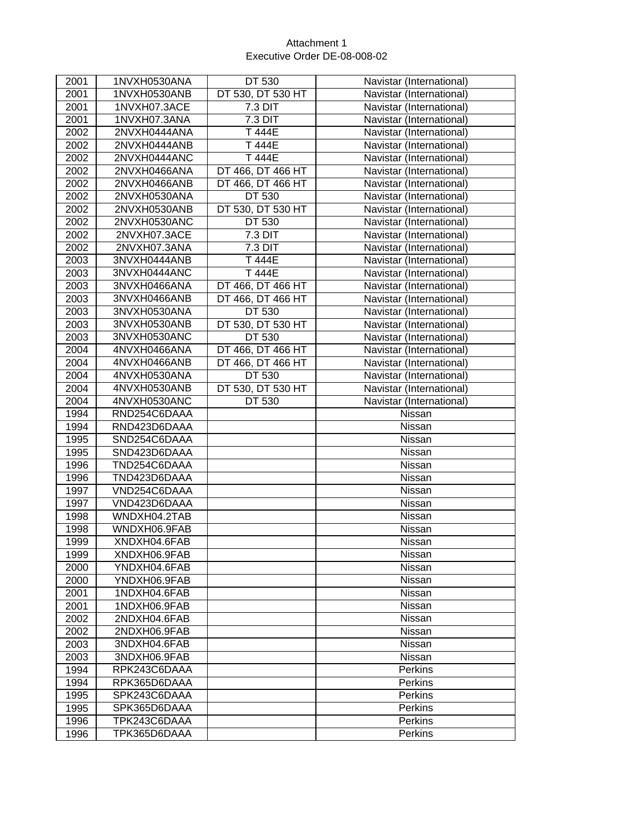| 2001 | 1NVXH0530ANA | DT 530            | Navistar (International) |
|------|--------------|-------------------|--------------------------|
| 2001 | 1NVXH0530ANB | DT 530, DT 530 HT | Navistar (International) |
| 2001 | 1NVXH07.3ACE | 7.3 DIT           | Navistar (International) |
| 2001 | 1NVXH07.3ANA | 7.3 DIT           | Navistar (International) |
| 2002 | 2NVXH0444ANA | T 444E            | Navistar (International) |
| 2002 | 2NVXH0444ANB | T 444E            | Navistar (International) |
| 2002 | 2NVXH0444ANC | T 444E            | Navistar (International) |
| 2002 | 2NVXH0466ANA | DT 466, DT 466 HT | Navistar (International) |
| 2002 | 2NVXH0466ANB | DT 466, DT 466 HT | Navistar (International) |
| 2002 | 2NVXH0530ANA | DT 530            | Navistar (International) |
| 2002 | 2NVXH0530ANB | DT 530, DT 530 HT | Navistar (International) |
| 2002 | 2NVXH0530ANC | DT 530            | Navistar (International) |
| 2002 | 2NVXH07.3ACE | 7.3 DIT           | Navistar (International) |
| 2002 | 2NVXH07.3ANA | 7.3 DIT           | Navistar (International) |
| 2003 | 3NVXH0444ANB | T 444E            | Navistar (International) |
| 2003 | 3NVXH0444ANC | T 444E            | Navistar (International) |
| 2003 | 3NVXH0466ANA | DT 466, DT 466 HT | Navistar (International) |
| 2003 | 3NVXH0466ANB | DT 466, DT 466 HT | Navistar (International) |
| 2003 | 3NVXH0530ANA | DT 530            | Navistar (International) |
| 2003 | 3NVXH0530ANB | DT 530, DT 530 HT | Navistar (International) |
| 2003 | 3NVXH0530ANC | DT 530            | Navistar (International) |
| 2004 | 4NVXH0466ANA | DT 466, DT 466 HT | Navistar (International) |
| 2004 | 4NVXH0466ANB | DT 466, DT 466 HT | Navistar (International) |
| 2004 | 4NVXH0530ANA | DT 530            | Navistar (International) |
| 2004 | 4NVXH0530ANB | DT 530, DT 530 HT | Navistar (International) |
| 2004 | 4NVXH0530ANC | DT 530            | Navistar (International) |
| 1994 | RND254C6DAAA |                   | Nissan                   |
| 1994 | RND423D6DAAA |                   | Nissan                   |
| 1995 | SND254C6DAAA |                   | Nissan                   |
| 1995 | SND423D6DAAA |                   | Nissan                   |
| 1996 | TND254C6DAAA |                   | Nissan                   |
| 1996 | TND423D6DAAA |                   | Nissan                   |
| 1997 | VND254C6DAAA |                   | Nissan                   |
| 1997 | VND423D6DAAA |                   | Nissan                   |
| 1998 | WNDXH04.2TAB |                   | Nissan                   |
| 1998 | WNDXH06.9FAB |                   | Nissan                   |
| 1999 | XNDXH04.6FAB |                   | Nissan                   |
| 1999 | XNDXH06.9FAB |                   | Nissan                   |
| 2000 | YNDXH04.6FAB |                   | Nissan                   |
| 2000 | YNDXH06.9FAB |                   | Nissan                   |
| 2001 | 1NDXH04.6FAB |                   | Nissan                   |
| 2001 | 1NDXH06.9FAB |                   | Nissan                   |
| 2002 | 2NDXH04.6FAB |                   | Nissan                   |
| 2002 | 2NDXH06.9FAB |                   | Nissan                   |
| 2003 | 3NDXH04.6FAB |                   | Nissan                   |
| 2003 | 3NDXH06.9FAB |                   | Nissan                   |
| 1994 | RPK243C6DAAA |                   | <b>Perkins</b>           |
| 1994 | RPK365D6DAAA |                   | Perkins                  |
| 1995 | SPK243C6DAAA |                   | Perkins                  |
| 1995 | SPK365D6DAAA |                   | Perkins                  |
| 1996 | TPK243C6DAAA |                   | Perkins                  |
| 1996 | TPK365D6DAAA |                   | Perkins                  |